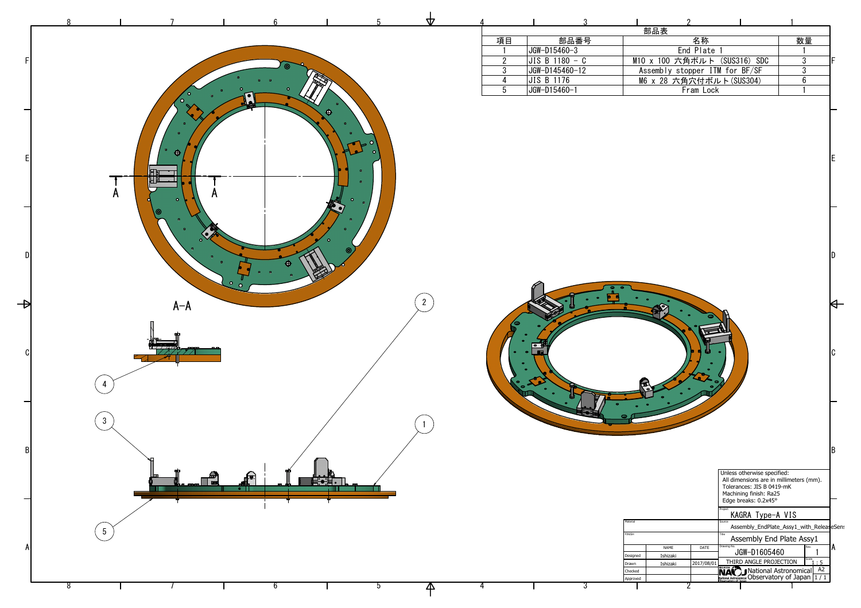